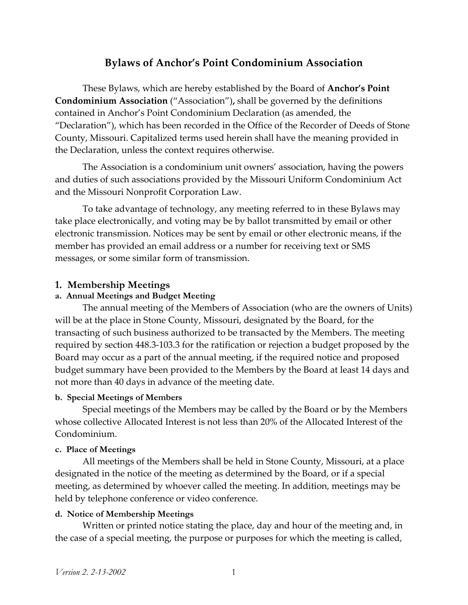# **Bylaws of Anchor's Point Condominium Association**

These Bylaws, which are hereby established by the Board of **Anchor's Point Condominium Association** ("Association")**,** shall be governed by the definitions contained in Anchor's Point Condominium Declaration (as amended, the "Declaration"), which has been recorded in the Office of the Recorder of Deeds of Stone County, Missouri. Capitalized terms used herein shall have the meaning provided in the Declaration, unless the context requires otherwise.

The Association is a condominium unit owners' association, having the powers and duties of such associations provided by the Missouri Uniform Condominium Act and the Missouri Nonprofit Corporation Law.

To take advantage of technology, any meeting referred to in these Bylaws may take place electronically, and voting may be by ballot transmitted by email or other electronic transmission. Notices may be sent by email or other electronic means, if the member has provided an email address or a number for receiving text or SMS messages, or some similar form of transmission.

## **1. Membership Meetings**

### **a. Annual Meetings and Budget Meeting**

The annual meeting of the Members of Association (who are the owners of Units) will be at the place in Stone County, Missouri, designated by the Board, for the transacting of such business authorized to be transacted by the Members. The meeting required by section 448.3-103.3 for the ratification or rejection a budget proposed by the Board may occur as a part of the annual meeting, if the required notice and proposed budget summary have been provided to the Members by the Board at least 14 days and not more than 40 days in advance of the meeting date.

#### **b. Special Meetings of Members**

Special meetings of the Members may be called by the Board or by the Members whose collective Allocated Interest is not less than 20% of the Allocated Interest of the Condominium.

#### **c. Place of Meetings**

All meetings of the Members shall be held in Stone County, Missouri, at a place designated in the notice of the meeting as determined by the Board, or if a special meeting, as determined by whoever called the meeting. In addition, meetings may be held by telephone conference or video conference.

### **d. Notice of Membership Meetings**

Written or printed notice stating the place, day and hour of the meeting and, in the case of a special meeting, the purpose or purposes for which the meeting is called,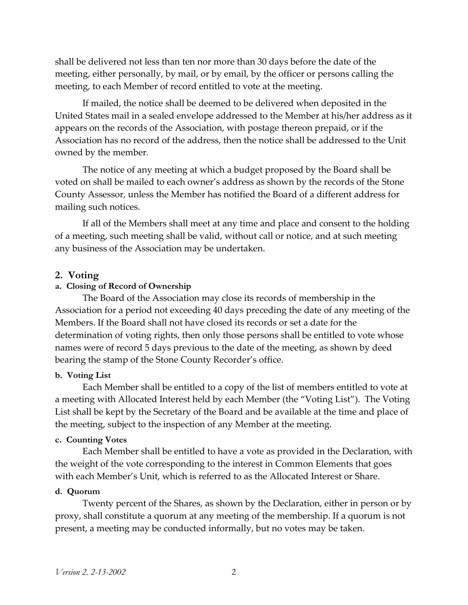shall be delivered not less than ten nor more than 30 days before the date of the meeting, either personally, by mail, or by email, by the officer or persons calling the meeting, to each Member of record entitled to vote at the meeting.

If mailed, the notice shall be deemed to be delivered when deposited in the United States mail in a sealed envelope addressed to the Member at his/her address as it appears on the records of the Association, with postage thereon prepaid, or if the Association has no record of the address, then the notice shall be addressed to the Unit owned by the member.

The notice of any meeting at which a budget proposed by the Board shall be voted on shall be mailed to each owner's address as shown by the records of the Stone County Assessor, unless the Member has notified the Board of a different address for mailing such notices.

If all of the Members shall meet at any time and place and consent to the holding of a meeting, such meeting shall be valid, without call or notice, and at such meeting any business of the Association may be undertaken.

### **2. Voting**

## **a. Closing of Record of Ownership**

The Board of the Association may close its records of membership in the Association for a period not exceeding 40 days preceding the date of any meeting of the Members. If the Board shall not have closed its records or set a date for the determination of voting rights, then only those persons shall be entitled to vote whose names were of record 5 days previous to the date of the meeting, as shown by deed bearing the stamp of the Stone County Recorder's office.

#### **b. Voting List**

Each Member shall be entitled to a copy of the list of members entitled to vote at a meeting with Allocated Interest held by each Member (the "Voting List"). The Voting List shall be kept by the Secretary of the Board and be available at the time and place of the meeting, subject to the inspection of any Member at the meeting.

#### **c. Counting Votes**

Each Member shall be entitled to have a vote as provided in the Declaration, with the weight of the vote corresponding to the interest in Common Elements that goes with each Member's Unit, which is referred to as the Allocated Interest or Share.

### **d. Quorum**

Twenty percent of the Shares, as shown by the Declaration, either in person or by proxy, shall constitute a quorum at any meeting of the membership. If a quorum is not present, a meeting may be conducted informally, but no votes may be taken.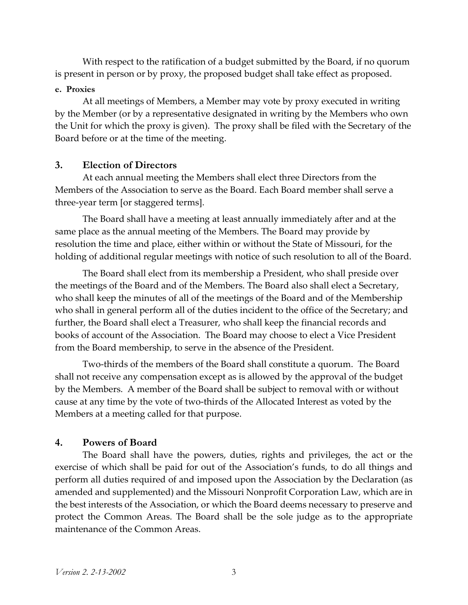With respect to the ratification of a budget submitted by the Board, if no quorum is present in person or by proxy, the proposed budget shall take effect as proposed.

### **e. Proxies**

At all meetings of Members, a Member may vote by proxy executed in writing by the Member (or by a representative designated in writing by the Members who own the Unit for which the proxy is given). The proxy shall be filed with the Secretary of the Board before or at the time of the meeting.

## **3. Election of Directors**

At each annual meeting the Members shall elect three Directors from the Members of the Association to serve as the Board. Each Board member shall serve a three-year term [or staggered terms].

The Board shall have a meeting at least annually immediately after and at the same place as the annual meeting of the Members. The Board may provide by resolution the time and place, either within or without the State of Missouri, for the holding of additional regular meetings with notice of such resolution to all of the Board.

The Board shall elect from its membership a President, who shall preside over the meetings of the Board and of the Members. The Board also shall elect a Secretary, who shall keep the minutes of all of the meetings of the Board and of the Membership who shall in general perform all of the duties incident to the office of the Secretary; and further, the Board shall elect a Treasurer, who shall keep the financial records and books of account of the Association. The Board may choose to elect a Vice President from the Board membership, to serve in the absence of the President.

Two-thirds of the members of the Board shall constitute a quorum. The Board shall not receive any compensation except as is allowed by the approval of the budget by the Members. A member of the Board shall be subject to removal with or without cause at any time by the vote of two-thirds of the Allocated Interest as voted by the Members at a meeting called for that purpose.

## **4. Powers of Board**

The Board shall have the powers, duties, rights and privileges, the act or the exercise of which shall be paid for out of the Association's funds, to do all things and perform all duties required of and imposed upon the Association by the Declaration (as amended and supplemented) and the Missouri Nonprofit Corporation Law, which are in the best interests of the Association, or which the Board deems necessary to preserve and protect the Common Areas. The Board shall be the sole judge as to the appropriate maintenance of the Common Areas.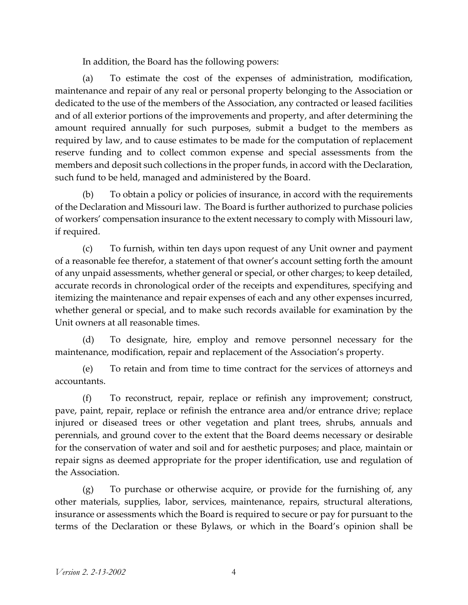In addition, the Board has the following powers:

(a) To estimate the cost of the expenses of administration, modification, maintenance and repair of any real or personal property belonging to the Association or dedicated to the use of the members of the Association, any contracted or leased facilities and of all exterior portions of the improvements and property, and after determining the amount required annually for such purposes, submit a budget to the members as required by law, and to cause estimates to be made for the computation of replacement reserve funding and to collect common expense and special assessments from the members and deposit such collections in the proper funds, in accord with the Declaration, such fund to be held, managed and administered by the Board.

(b) To obtain a policy or policies of insurance, in accord with the requirements of the Declaration and Missouri law. The Board is further authorized to purchase policies of workers' compensation insurance to the extent necessary to comply with Missouri law, if required.

(c) To furnish, within ten days upon request of any Unit owner and payment of a reasonable fee therefor, a statement of that owner's account setting forth the amount of any unpaid assessments, whether general or special, or other charges; to keep detailed, accurate records in chronological order of the receipts and expenditures, specifying and itemizing the maintenance and repair expenses of each and any other expenses incurred, whether general or special, and to make such records available for examination by the Unit owners at all reasonable times.

(d) To designate, hire, employ and remove personnel necessary for the maintenance, modification, repair and replacement of the Association's property.

(e) To retain and from time to time contract for the services of attorneys and accountants.

(f) To reconstruct, repair, replace or refinish any improvement; construct, pave, paint, repair, replace or refinish the entrance area and/or entrance drive; replace injured or diseased trees or other vegetation and plant trees, shrubs, annuals and perennials, and ground cover to the extent that the Board deems necessary or desirable for the conservation of water and soil and for aesthetic purposes; and place, maintain or repair signs as deemed appropriate for the proper identification, use and regulation of the Association.

(g) To purchase or otherwise acquire, or provide for the furnishing of, any other materials, supplies, labor, services, maintenance, repairs, structural alterations, insurance or assessments which the Board is required to secure or pay for pursuant to the terms of the Declaration or these Bylaws, or which in the Board's opinion shall be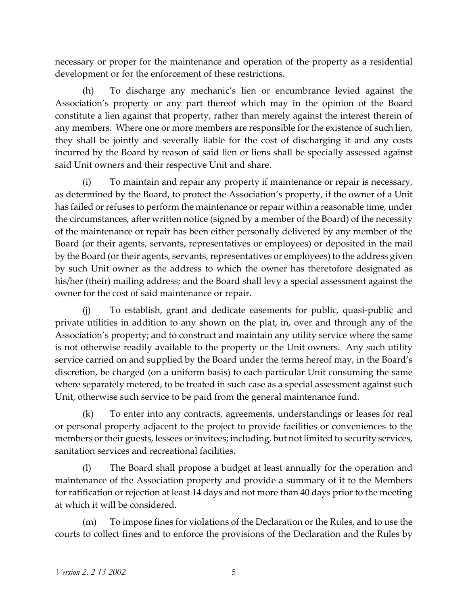necessary or proper for the maintenance and operation of the property as a residential development or for the enforcement of these restrictions.

(h) To discharge any mechanic's lien or encumbrance levied against the Association's property or any part thereof which may in the opinion of the Board constitute a lien against that property, rather than merely against the interest therein of any members. Where one or more members are responsible for the existence of such lien, they shall be jointly and severally liable for the cost of discharging it and any costs incurred by the Board by reason of said lien or liens shall be specially assessed against said Unit owners and their respective Unit and share.

(i) To maintain and repair any property if maintenance or repair is necessary, as determined by the Board, to protect the Association's property, if the owner of a Unit has failed or refuses to perform the maintenance or repair within a reasonable time, under the circumstances, after written notice (signed by a member of the Board) of the necessity of the maintenance or repair has been either personally delivered by any member of the Board (or their agents, servants, representatives or employees) or deposited in the mail by the Board (or their agents, servants, representatives or employees) to the address given by such Unit owner as the address to which the owner has theretofore designated as his/her (their) mailing address; and the Board shall levy a special assessment against the owner for the cost of said maintenance or repair.

(j) To establish, grant and dedicate easements for public, quasi-public and private utilities in addition to any shown on the plat, in, over and through any of the Association's property; and to construct and maintain any utility service where the same is not otherwise readily available to the property or the Unit owners. Any such utility service carried on and supplied by the Board under the terms hereof may, in the Board's discretion, be charged (on a uniform basis) to each particular Unit consuming the same where separately metered, to be treated in such case as a special assessment against such Unit, otherwise such service to be paid from the general maintenance fund.

(k) To enter into any contracts, agreements, understandings or leases for real or personal property adjacent to the project to provide facilities or conveniences to the members or their guests, lessees or invitees; including, but not limited to security services, sanitation services and recreational facilities.

(l) The Board shall propose a budget at least annually for the operation and maintenance of the Association property and provide a summary of it to the Members for ratification or rejection at least 14 days and not more than 40 days prior to the meeting at which it will be considered.

(m) To impose fines for violations of the Declaration or the Rules, and to use the courts to collect fines and to enforce the provisions of the Declaration and the Rules by